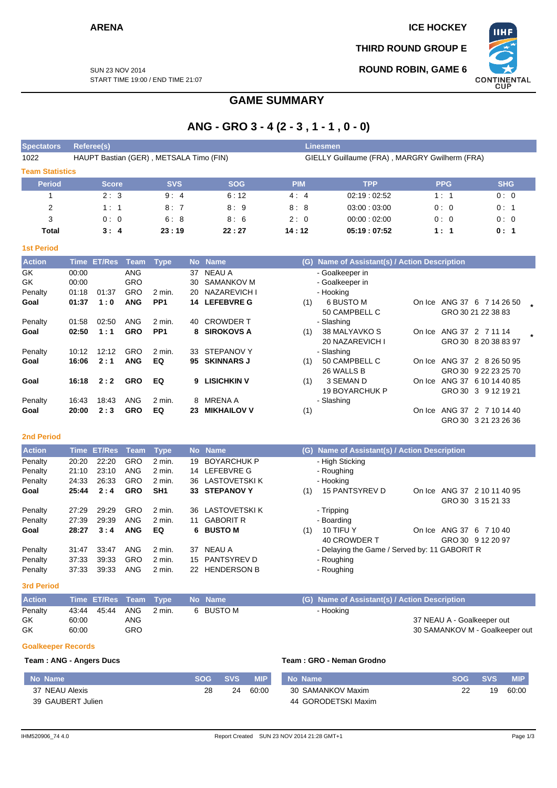**ARENA** ICE HOCKEY

**THIRD ROUND GROUP E**

**ROUND ROBIN, GAME 6**



SUN 23 NOV 2014 START TIME 19:00 / END TIME 21:07

# **GAME SUMMARY**

# **ANG - GRO 3 - 4 (2 - 3 , 1 - 1 , 0 - 0)**

| <b>Spectators</b>      | Referee(s)                              |            |            |                                               | <b>Linesmen</b> |            |            |  |  |  |  |
|------------------------|-----------------------------------------|------------|------------|-----------------------------------------------|-----------------|------------|------------|--|--|--|--|
| 1022                   | HAUPT Bastian (GER), METSALA Timo (FIN) |            |            | GIELLY Guillaume (FRA), MARGRY Gwilherm (FRA) |                 |            |            |  |  |  |  |
| <b>Team Statistics</b> |                                         |            |            |                                               |                 |            |            |  |  |  |  |
| <b>Period</b>          | <b>Score</b>                            | <b>SVS</b> | <b>SOG</b> | <b>PIM</b>                                    | <b>TPP</b>      | <b>PPG</b> | <b>SHG</b> |  |  |  |  |
|                        | 2:3                                     | 9:4        | 6:12       | 4:4                                           | 02:19:02:52     | 1:1        | 0:0        |  |  |  |  |
| 2                      | 1:1                                     | 8:7        | 8:9        | 8:8                                           | 03:00:03:00     | 0:0        | 0:1        |  |  |  |  |
| 3                      | 0:0                                     | 6:8        | 8:6        | 2:0                                           | 00:00:02:00     | 0:0        | 0:0        |  |  |  |  |
| Total                  | 3:4                                     | 23:19      | 22:27      | 14:12                                         | 05:19:07:52     | 1:1        | 0:1        |  |  |  |  |

| _ | v<br>٠. |
|---|---------|
|   |         |

| <b>Action</b> |       | Time ET/Res | Team       | Type            |     | No Name            |     | (G) Name of Assistant(s) / Action Description |        |        |                      |  |
|---------------|-------|-------------|------------|-----------------|-----|--------------------|-----|-----------------------------------------------|--------|--------|----------------------|--|
| GK            | 00:00 |             | ANG        |                 | 37  | NEAU A             |     | - Goalkeeper in                               |        |        |                      |  |
| GK            | 00:00 |             | GRO        |                 | 30  | SAMANKOV M         |     | - Goalkeeper in                               |        |        |                      |  |
| Penalty       | 01:18 | 01:37       | <b>GRO</b> | 2 min.          | 20  | NAZAREVICH I       |     | - Hooking                                     |        |        |                      |  |
| Goal          | 01:37 | 1:0         | <b>ANG</b> | PP <sub>1</sub> |     | 14 LEFEBVRE G      | (1) | 6 BUSTO M                                     | On Ice |        | ANG 37 6 7 14 26 50  |  |
|               |       |             |            |                 |     |                    |     | 50 CAMPBELL C                                 |        |        | GRO 30 21 22 38 83   |  |
| Penalty       | 01:58 | 02:50       | <b>ANG</b> | 2 min.          | 40  | <b>CROWDER T</b>   |     | - Slashing                                    |        |        |                      |  |
| Goal          | 02:50 | 1:1         | <b>GRO</b> | PP <sub>1</sub> | 8   | <b>SIROKOVS A</b>  | (1) | 38 MALYAVKO S                                 | On Ice |        | ANG 37 2 7 11 14     |  |
|               |       |             |            |                 |     |                    |     | 20 NAZAREVICH I                               |        |        | GRO 30 8 20 38 83 97 |  |
| Penalty       | 10:12 | 12:12       | <b>GRO</b> | $2$ min.        | 33  | STEPANOV Y         |     | - Slashing                                    |        |        |                      |  |
| Goal          | 16:06 | 2:1         | <b>ANG</b> | EQ              | 95. | <b>SKINNARS J</b>  | (1) | 50 CAMPBELL C                                 | On Ice |        | ANG 37 2 8 26 50 95  |  |
|               |       |             |            |                 |     |                    |     | 26 WALLS B                                    |        |        | GRO 30 9 22 23 25 70 |  |
| Goal          | 16:18 | 2:2         | <b>GRO</b> | EQ              | 9   | <b>LISICHKIN V</b> | (1) | 3 SEMAN D                                     | On Ice |        | ANG 37 6 10 14 40 85 |  |
|               |       |             |            |                 |     |                    |     | <b>19 BOYARCHUK P</b>                         |        | GRO 30 | 3 9 12 19 21         |  |
| Penalty       | 16:43 | 18:43       | <b>ANG</b> | 2 min.          | 8   | <b>MRENA A</b>     |     | - Slashing                                    |        |        |                      |  |
| Goal          | 20:00 | 2:3         | <b>GRO</b> | EQ              | 23  | <b>MIKHAILOV V</b> | (1) |                                               | On Ice |        | ANG 37 2 7 10 14 40  |  |
|               |       |             |            |                 |     |                    |     |                                               |        |        | GRO 30 3 21 23 26 36 |  |

### **2nd Period**

| <b>Action</b> |       | Time ET/Res Team |            | Type              |     | No Name              |     | (G) Name of Assistant(s) / Action Description |  |                         |  |  |  |  |
|---------------|-------|------------------|------------|-------------------|-----|----------------------|-----|-----------------------------------------------|--|-------------------------|--|--|--|--|
| Penalty       | 20:20 | 22:20            | GRO        | 2 min.            | 19  | <b>BOYARCHUK P</b>   |     | - High Sticking                               |  |                         |  |  |  |  |
| Penalty       | 21:10 | 23:10            | ANG        | $2$ min.          |     | 14 LEFEBVRE G        |     | - Roughing                                    |  |                         |  |  |  |  |
| Penalty       | 24:33 | 26:33            | <b>GRO</b> | $2$ min.          | 36  | <b>LASTOVETSKI K</b> |     | - Hooking                                     |  |                         |  |  |  |  |
| Goal          | 25:44 | 2:4              | <b>GRO</b> | SH <sub>1</sub>   |     | 33 STEPANOV Y        | (1) | <b>15 PANTSYREV D</b><br>On Ice               |  | ANG 37 2 10 11 40 95    |  |  |  |  |
|               |       |                  |            |                   |     |                      |     |                                               |  | GRO 30 3 15 21 33       |  |  |  |  |
| Penalty       | 27:29 | 29:29            | GRO        | $2 \text{ min}$ . | 36. | LASTOVETSKI K        |     | - Tripping                                    |  |                         |  |  |  |  |
| Penalty       | 27:39 | 29:39            | ANG        | 2 min.            | 11  | <b>GABORIT R</b>     |     | - Boarding                                    |  |                         |  |  |  |  |
| Goal          | 28:27 | 3:4              | <b>ANG</b> | EQ                |     | 6 BUSTO M            | (1) | 10 TIFU Y                                     |  | On Ice ANG 37 6 7 10 40 |  |  |  |  |
|               |       |                  |            |                   |     |                      |     | 40 CROWDER T                                  |  | GRO 30 9 12 20 97       |  |  |  |  |
| Penalty       | 31:47 | 33:47            | ANG        | $2$ min.          | 37  | NEAU A               |     | - Delaying the Game / Served by: 11 GABORIT R |  |                         |  |  |  |  |
| Penalty       | 37.33 | 39.33            | <b>GRO</b> | 2 min.            | 15  | <b>PANTSYREV D</b>   |     | - Roughing                                    |  |                         |  |  |  |  |
| Penalty       | 37:33 | 39.33            | <b>ANG</b> | 2 min.            | 22  | <b>HENDERSON B</b>   |     | - Roughing                                    |  |                         |  |  |  |  |

#### **3rd Period**

| <b>Action</b> | Time ET/Res Team Type No Name |     |        |    |         | (G) Name of Assistant(s) / Action Description |
|---------------|-------------------------------|-----|--------|----|---------|-----------------------------------------------|
| Penalty       |                               |     | 2 min. | 6. | BUSTO M | - Hooking                                     |
| GK            | 60:00                         | ANG |        |    |         | 37 NEAU A - Goalkeeper out                    |
| GK            | 60:00                         | GRO |        |    |         | 30 SAMANKOV M - Goalkeeper out                |

### **Goalkeeper Records**

## **Team : ANG - Angers Ducs Team : GRO - Neman Grodno**

| No Name           | SOG | <b>SVS</b> | <b>MIP</b> | No Name             | <b>SOG</b> | <b>SVS</b> | <b>MIP</b> |
|-------------------|-----|------------|------------|---------------------|------------|------------|------------|
| 37 NEAU Alexis    | 28  | 24         | 60:00      | 30 SAMANKOV Maxim   |            | 19         | 60:00      |
| 39 GAUBERT Julien |     |            |            | 44 GORODETSKI Maxim |            |            |            |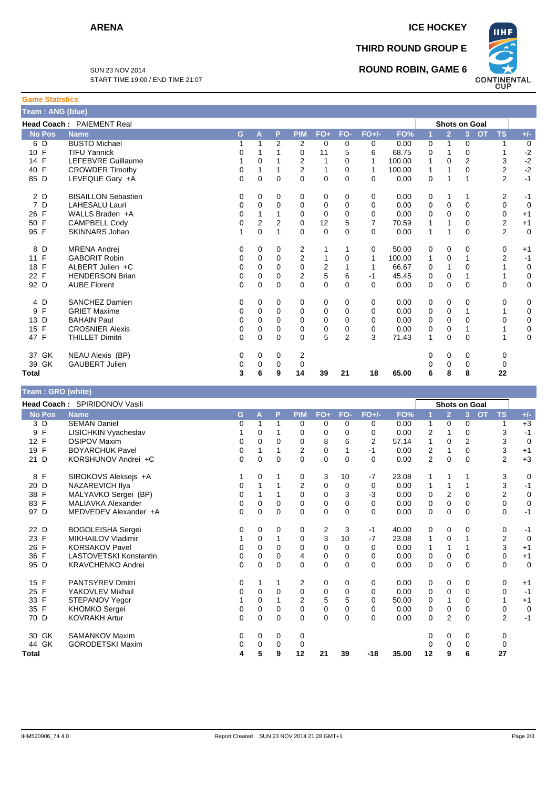**Game Statistics**

**THIRD ROUND GROUP E**

**ROUND ROBIN, GAME 6**



SUN 23 NOV 2014 START TIME 19:00 / END TIME 21:07

| Team: ANG (blue)   |                                  |                |                         |                |                |              |                |                |        |                |                      |                |           |                |             |
|--------------------|----------------------------------|----------------|-------------------------|----------------|----------------|--------------|----------------|----------------|--------|----------------|----------------------|----------------|-----------|----------------|-------------|
|                    | <b>Head Coach: PAIEMENT Real</b> |                |                         |                |                |              |                |                |        |                | <b>Shots on Goal</b> |                |           |                |             |
| <b>No Pos</b>      | <b>Name</b>                      | G              | A                       | P              | <b>PIM</b>     | $FO+$        | FO-            | $FO+/-$        | FO%    | 1              | $\overline{2}$       | 3 <sup>1</sup> | <b>OT</b> | <b>TS</b>      | $+/-$       |
| 6 D                | <b>BUSTO Michael</b>             | 1              | $\mathbf{1}$            | $\overline{2}$ | 2              | 0            | 0              | 0              | 0.00   | 0              | $\mathbf{1}$         | $\mathbf 0$    |           | 1              | $\mathbf 0$ |
| 10 F               | <b>TIFU Yannick</b>              | 0              | 1                       |                | 0              | 11           | 5              | 6              | 68.75  | 0              | 1                    | $\Omega$       |           | 1              | $-2$        |
| 14 F               | LEFEBVRE Guillaume               | 1              | $\Omega$                |                | $\overline{2}$ | $\mathbf{1}$ | $\Omega$       | 1              | 100.00 | 1              | $\Omega$             | $\overline{2}$ |           | 3              | $-2$        |
| 40 F               | <b>CROWDER Timothy</b>           | 0              | 1                       |                | $\overline{2}$ | 1            | 0              | $\mathbf{1}$   | 100.00 | 1              | 1                    | $\Omega$       |           | $\overline{2}$ | $-2$        |
| 85 D               | LEVEQUE Gary +A                  | $\overline{0}$ | $\Omega$                | $\Omega$       | $\Omega$       | 0            | $\Omega$       | $\Omega$       | 0.00   | 0              | 1                    | 1              |           | $\overline{2}$ | $-1$        |
| 2 D                | <b>BISAILLON Sebastien</b>       | 0              | 0                       | 0              | 0              | 0            | 0              | 0              | 0.00   | 0              | 1                    | 1              |           | 2              | $-1$        |
| 7 D                | <b>LAHESALU Lauri</b>            | 0              | 0                       | $\Omega$       | 0              | 0            | 0              | $\Omega$       | 0.00   | 0              | $\mathbf 0$          | $\mathbf 0$    |           | 0              | $\mathbf 0$ |
| 26 F               | WALLS Braden +A                  | 0              | $\mathbf{1}$            | 1              | $\mathbf 0$    | 0            | $\mathbf 0$    | 0              | 0.00   | 0              | $\mathbf 0$          | $\Omega$       |           | 0              | $+1$        |
| $\mathsf{F}$<br>50 | <b>CAMPBELL Cody</b>             | 0              | $\overline{\mathbf{c}}$ | $\overline{2}$ | $\mathbf 0$    | 12           | 5              | $\overline{7}$ | 70.59  | 1              | 1                    | $\Omega$       |           | 2              | $+1$        |
| 95 F               | <b>SKINNARS Johan</b>            | 1              | $\Omega$                | $\mathbf{1}$   | $\Omega$       | 0            | $\Omega$       | $\Omega$       | 0.00   | $\mathbf{1}$   | 1                    | $\Omega$       |           | $\overline{2}$ | $\mathbf 0$ |
| 8 D                | <b>MRENA Andrej</b>              | 0              | 0                       | 0              | 2              | 1            | 1              | 0              | 50.00  | 0              | 0                    | 0              |           | 0              | $+1$        |
| $\mathsf{F}$<br>11 | <b>GABORIT Robin</b>             | 0              | 0                       | $\mathbf 0$    | $\overline{2}$ | 1            | 0              | 1              | 100.00 | 1              | 0                    | $\mathbf{1}$   |           | $\overline{2}$ | $-1$        |
| 18 F               | ALBERT Julien +C                 | 0              | 0                       | 0              | 0              | 2            | $\mathbf{1}$   | 1              | 66.67  | 0              | $\mathbf{1}$         | 0              |           | $\mathbf{1}$   | $\mathbf 0$ |
| 22 F               | <b>HENDERSON Brian</b>           | 0              | 0                       | 0              | $\overline{2}$ | 5            | 6              | $-1$           | 45.45  | 0              | $\mathbf 0$          | 1              |           | 1              | 0           |
| 92 D               | <b>AUBE Florent</b>              | 0              | 0                       | $\mathbf 0$    | 0              | 0            | 0              | $\Omega$       | 0.00   | 0              | $\mathbf 0$          | $\mathbf 0$    |           | 0              | 0           |
| 4 D                | <b>SANCHEZ Damien</b>            | 0              | 0                       | 0              | 0              | 0            | 0              | 0              | 0.00   | 0              | 0                    | 0              |           | 0              | 0           |
| $\mathsf F$<br>9   | <b>GRIET Maxime</b>              | 0              | 0                       | $\Omega$       | 0              | 0            | $\mathbf 0$    | $\Omega$       | 0.00   | 0              | $\mathbf 0$          | 1              |           | 1              | 0           |
| 13 D               | <b>BAHAIN Paul</b>               | 0              | 0                       | 0              | 0              | 0            | 0              | $\Omega$       | 0.00   | 0              | $\mathbf 0$          | $\Omega$       |           | 0              | 0           |
| 15 F               | <b>CROSNIER Alexis</b>           | 0              | 0                       | 0              | 0              | 0            | 0              | 0              | 0.00   | 0              | 0                    | 1              |           | 1              | 0           |
| 47 F               | <b>THILLET Dimitri</b>           | $\Omega$       | $\Omega$                | $\Omega$       | 0              | 5            | $\overline{2}$ | 3              | 71.43  | 1              | $\mathbf 0$          | 0              |           | 1              | 0           |
| 37 GK              | <b>NEAU Alexis (BP)</b>          | 0              | 0                       | 0              | 2              |              |                |                |        | 0              | 0                    | 0              |           | 0              |             |
| 39 GK              | <b>GAUBERT Julien</b>            | 0              | $\mathbf 0$             | 0              | $\mathbf 0$    |              |                |                |        | 0              | $\mathbf 0$          | $\mathbf 0$    |           | 0              |             |
| <b>Total</b>       |                                  | 3              | 6                       | 9              | 14             | 39           | 21             | 18             | 65.00  | 6              | 8                    | 8              |           | 22             |             |
| Team: GRO (white)  |                                  |                |                         |                |                |              |                |                |        |                |                      |                |           |                |             |
|                    | Head Coach: SPIRIDONOV Vasili    |                |                         |                |                |              |                |                |        |                | <b>Shots on Goal</b> |                |           |                |             |
| <b>No Pos</b>      | <b>Name</b>                      | G              | A                       | P              | <b>PIM</b>     | $FO+$        | FO-            | $FO+/-$        | FO%    | $\overline{1}$ | $\overline{2}$       | 3 <sup>2</sup> | <b>OT</b> | <b>TS</b>      | $+/-$       |
| 3 D                | <b>SEMAN Daniel</b>              | 0              | $\mathbf 1$             | 1              | 0              | 0            | 0              | 0              | 0.00   | 1              | 0                    | 0              |           | 1              | $+3$        |
| 9<br>$\mathsf{F}$  | <b>LISICHKIN Vyacheslav</b>      | 1              | 0                       | 1              | 0              | 0            | 0              | $\Omega$       | 0.00   | 2              | 1                    | 0              |           | 3              | $-1$        |
| 12 F               | OSIPOV Maxim                     | $\Omega$       | $\Omega$                | $\Omega$       | $\Omega$       | R            | ĥ              | っ              | 5714   | 1              | $\Omega$             | っ              |           | વ              | $\Omega$    |

| Total              |                          |   | 5        | 9        | 12       | 21 | 39 | -18            | 35.00 | 12       | 9              | 6              | 27             |             |
|--------------------|--------------------------|---|----------|----------|----------|----|----|----------------|-------|----------|----------------|----------------|----------------|-------------|
| 44 GK              | <b>GORODETSKI Maxim</b>  |   | 0        | 0        | 0        |    |    |                |       |          | 0              | 0              | 0              |             |
| GK<br>30           | <b>SAMANKOV Maxim</b>    | 0 | 0        | 0        | 0        |    |    |                |       | 0        | 0              | 0              | 0              |             |
| 70 D               | <b>KOVRAKH Artur</b>     | 0 | 0        | 0        | 0        | 0  | 0  | 0              | 0.00  | $\Omega$ | $\overline{2}$ | $\Omega$       | $\overline{2}$ | $-1$        |
| 35 F               | KHOMKO Sergei            | 0 | 0        | 0        | 0        | 0  | 0  | 0              | 0.00  | 0        | 0              | 0              | 0              | $\mathbf 0$ |
| 33 F               | STEPANOV Yegor           |   | 0        |          | 2        | 5  | 5  | $\Omega$       | 50.00 | 0        |                | 0              |                | $+1$        |
| 25 F               | YAKOVLEV Mikhail         |   | $\Omega$ | 0        | 0        | 0  | 0  | 0              | 0.00  | 0        | $\Omega$       | 0              | 0              | $-1$        |
| 15 F               | PANTSYREV Dmitri         | 0 |          |          | 2        | 0  | 0  | 0              | 0.00  | 0        | 0              | 0              | 0              | $+1$        |
| 95 D               | <b>KRAVCHENKO Andrei</b> | 0 | $\Omega$ | 0        | $\Omega$ | 0  | 0  | 0              | 0.00  | $\Omega$ | $\Omega$       | $\Omega$       | 0              | $\Omega$    |
| 36 F               | LASTOVETSKI Konstantin   |   | 0        | 0        | 4        | 0  | 0  | 0              | 0.00  | 0        | 0              | 0              | 0              | $+1$        |
| 26<br>F            | <b>KORSAKOV Pavel</b>    |   | 0        | 0        | 0        | 0  | 0  | 0              | 0.00  |          |                |                | 3              | $+1$        |
| 23 F               | MIKHAILOV Vladimir       |   | 0        |          | $\Omega$ | 3  | 10 | $-7$           | 23.08 |          | $\Omega$       |                | 2              | $\Omega$    |
| 22 D               | <b>BOGOLEISHA Sergei</b> |   | 0        | 0        | 0        | 2  | 3  | -1             | 40.00 | 0        | 0              | 0              | 0              | -1          |
| 97<br>D            | MEDVEDEV Alexander +A    | 0 | 0        | 0        | 0        | 0  | 0  | 0              | 0.00  | 0        | 0              | $\Omega$       | 0              | $-1$        |
| 83 F               | MALIAVKA Alexander       | 0 | 0        | 0        | 0        | 0  | 0  | 0              | 0.00  | $\Omega$ | 0              | 0              | 0              | 0           |
| 38 F               | MALYAVKO Sergei (BP)     |   |          |          | $\Omega$ | 0  | 3  | $-3$           | 0.00  | $\Omega$ | $\overline{2}$ | 0              | $\overline{2}$ | 0           |
| 20 D               | NAZAREVICH IIya          |   |          |          | 2        | 0  | 0  | 0              | 0.00  |          |                |                | 3              | -1          |
| 8 F                | SIROKOVS Aleksejs +A     |   | 0        |          | 0        | 3  | 10 | $-7$           | 23.08 |          |                |                | 3              | $\Omega$    |
| 21 D               | KORSHUNOV Andrei +C      | 0 | 0        | 0        | 0        | 0  | 0  | $\Omega$       | 0.00  | 2        | 0              | $\Omega$       | $\overline{2}$ | $+3$        |
| $\mathsf{F}$<br>19 | <b>BOYARCHUK Pavel</b>   |   |          |          | 2        | 0  |    | -1             | 0.00  | 2        |                | 0              | 3              | $+1$        |
| F<br>12            | <b>OSIPOV Maxim</b>      |   | 0        | $\Omega$ | $\Omega$ | 8  | 6  | $\overline{2}$ | 57.14 |          | $\mathbf{0}$   | $\overline{2}$ | 3              | $\Omega$    |
| F<br>9             | LISICHKIN Vyacheslav     |   | 0        |          | 0        | 0  | 0  | 0              | 0.00  | 2        |                | 0              | 3              | $-1$        |
| З<br>D             | <b>SEMAN Daniel</b>      |   |          |          | 0        | 0  | 0  | 0              | 0.00  |          | 0              | 0              |                | $+3$        |